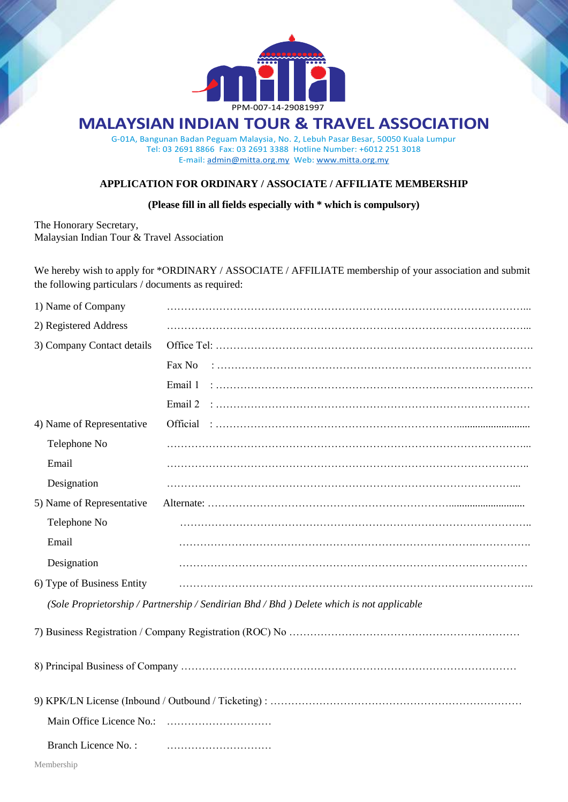

# **MALAYSIAN INDIAN TOUR & TRAVEL ASSOCIATION**

G-01A, Bangunan Badan Peguam Malaysia, No. 2, Lebuh Pasar Besar, 50050 Kuala Lumpur Tel: 03 2691 8866 Fax: 03 2691 3388 Hotline Number: +6012 251 3018 E-mail: [admin@mitta.org.my](mailto:admin@mitta.org.my) Web: [www.mitta.org.my](http://www.mitta.org.my/)

### **APPLICATION FOR ORDINARY / ASSOCIATE / AFFILIATE MEMBERSHIP**

### **(Please fill in all fields especially with \* which is compulsory)**

The Honorary Secretary, Malaysian Indian Tour & Travel Association

We hereby wish to apply for \*ORDINARY / ASSOCIATE / AFFILIATE membership of your association and submit the following particulars / documents as required:

| 1) Name of Company         |                                                                                           |  |  |
|----------------------------|-------------------------------------------------------------------------------------------|--|--|
| 2) Registered Address      |                                                                                           |  |  |
| 3) Company Contact details |                                                                                           |  |  |
|                            | Fax No                                                                                    |  |  |
|                            | Email 1                                                                                   |  |  |
|                            | Email 2                                                                                   |  |  |
| 4) Name of Representative  | Official                                                                                  |  |  |
| Telephone No               |                                                                                           |  |  |
| Email                      |                                                                                           |  |  |
| Designation                |                                                                                           |  |  |
| 5) Name of Representative  |                                                                                           |  |  |
| Telephone No               |                                                                                           |  |  |
| Email                      |                                                                                           |  |  |
| Designation                |                                                                                           |  |  |
| 6) Type of Business Entity |                                                                                           |  |  |
|                            | (Sole Proprietorship / Partnership / Sendirian Bhd / Bhd ) Delete which is not applicable |  |  |
|                            |                                                                                           |  |  |
|                            |                                                                                           |  |  |
|                            |                                                                                           |  |  |
|                            |                                                                                           |  |  |
| <b>Branch Licence No.:</b> |                                                                                           |  |  |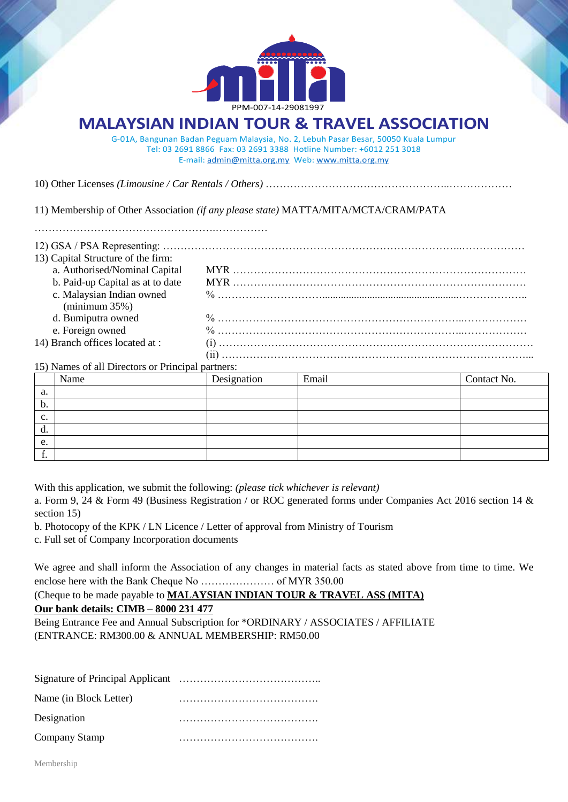

# **MALAYSIAN INDIAN TOUR & TRAVEL ASSOCIATION**

G-01A, Bangunan Badan Peguam Malaysia, No. 2, Lebuh Pasar Besar, 50050 Kuala Lumpur Tel: 03 2691 8866 Fax: 03 2691 3388 Hotline Number: +6012 251 3018 E-mail: [admin@mitta.org.my](mailto:admin@mitta.org.my) Web: [www.mitta.org.my](http://www.mitta.org.my/)

10) Other Licenses *(Limousine / Car Rentals / Others)* ……………………………………………..………………

11) Membership of Other Association *(if any please state)* MATTA/MITA/MCTA/CRAM/PATA

| 13) Capital Structure of the firm:                  |  |
|-----------------------------------------------------|--|
| a. Authorised/Nominal Capital                       |  |
| b. Paid-up Capital as at to date                    |  |
|                                                     |  |
| $minimum 35\%$                                      |  |
| d. Bumiputra owned                                  |  |
| e. Foreign owned                                    |  |
| 14) Branch offices located at:                      |  |
|                                                     |  |
| $(15)$ Mamas of all Divertors on Duinainal neutrons |  |

#### 15) Names of all Directors or Principal partners:

|                | Name | Designation | Email | Contact No. |
|----------------|------|-------------|-------|-------------|
| a.             |      |             |       |             |
| b.             |      |             |       |             |
| $\mathbf{c}$ . |      |             |       |             |
| d.             |      |             |       |             |
| e.             |      |             |       |             |
| . .            |      |             |       |             |

With this application, we submit the following: *(please tick whichever is relevant)*

a. Form 9, 24 & Form 49 (Business Registration / or ROC generated forms under Companies Act 2016 section 14 & section 15)

b. Photocopy of the KPK / LN Licence / Letter of approval from Ministry of Tourism

c. Full set of Company Incorporation documents

We agree and shall inform the Association of any changes in material facts as stated above from time to time. We enclose here with the Bank Cheque No ………………… of MYR 350.00

(Cheque to be made payable to **MALAYSIAN INDIAN TOUR & TRAVEL ASS (MITA)**

**Our bank details: CIMB – 8000 231 477**

Being Entrance Fee and Annual Subscription for \*ORDINARY / ASSOCIATES / AFFILIATE (ENTRANCE: RM300.00 & ANNUAL MEMBERSHIP: RM50.00

| Name (in Block Letter) |  |  |
|------------------------|--|--|
| Designation            |  |  |
| Company Stamp          |  |  |